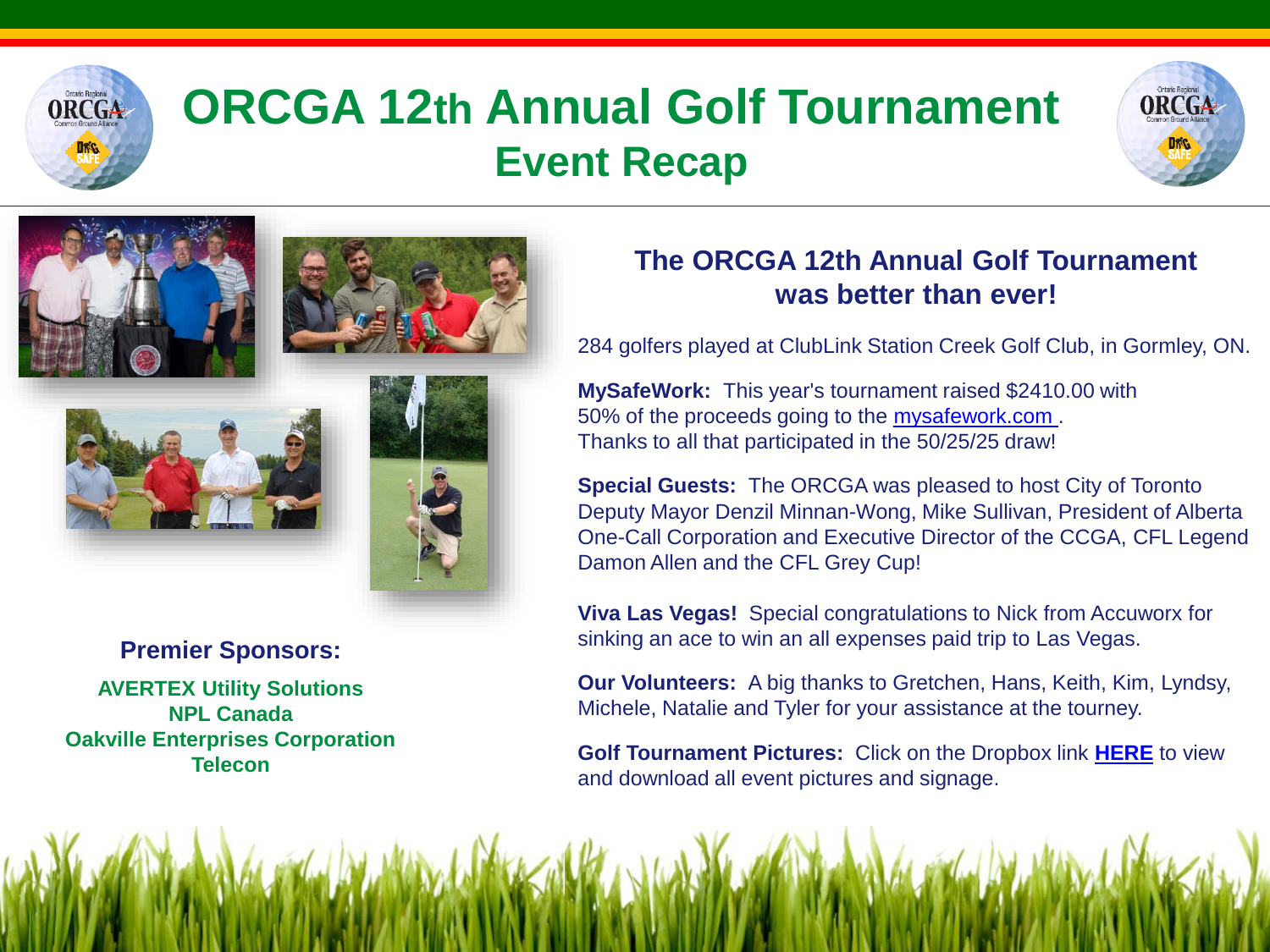

# **ORCGA 12th Annual Golf Tournament Event Recap**









**MySafeWork:** This year's tournament raised \$2410.00 with 50% of the proceeds going to the [mysafework.com .](http://mysafework.com/) Thanks to all that participated in the 50/25/25 draw!

**Special Guests:** The ORCGA was pleased to host City of Toronto Deputy Mayor Denzil Minnan-Wong, Mike Sullivan, President of Alberta One-Call Corporation and Executive Director of the CCGA, CFL Legend Damon Allen and the CFL Grey Cup!

284 golfers played at ClubLink Station Creek Golf Club, in Gormley, ON.

**The ORCGA 12th Annual Golf Tournament was better than ever!**

**Viva Las Vegas!** Special congratulations to Nick from Accuworx for sinking an ace to win an all expenses paid trip to Las Vegas.

**Our Volunteers:** A big thanks to Gretchen, Hans, Keith, Kim, Lyndsy, Michele, Natalie and Tyler for your assistance at the tourney.

**Golf Tournament Pictures:** Click on the Dropbox link **[HERE](https://www.dropbox.com/sh/iblpr5sggxhz4th/AADQ1kzkS9Y2NhygiHHEZyODa?dl=0)** to view and download all event pictures and signage.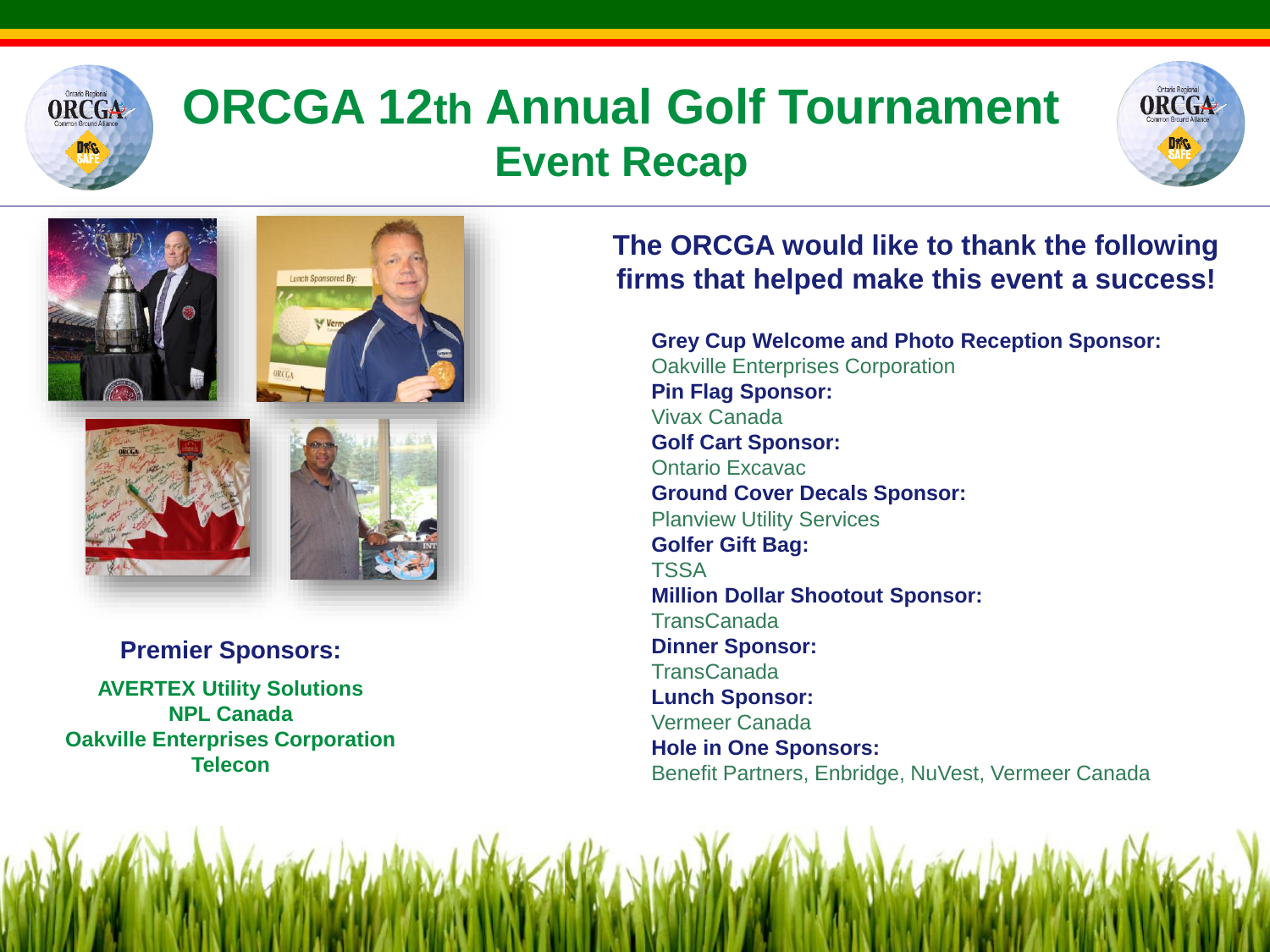

### **ORCGA 12th Annual Golf Tournament Event Recap**





**Premier Sponsors: AVERTEX Utility Solutions NPL Canada Oakville Enterprises Corporation Telecon** 

### **The ORCGA would like to thank the following firms that helped make this event a success!**

**Grey Cup Welcome and Photo Reception Sponsor:** Oakville Enterprises Corporation **Pin Flag Sponsor:** Vivax Canada **Golf Cart Sponsor:** Ontario Excavac **Ground Cover Decals Sponsor:** Planview Utility Services **Golfer Gift Bag:** TSSA **Million Dollar Shootout Sponsor:** TransCanada **Dinner Sponsor: TransCanada Lunch Sponsor:** Vermeer Canada **Hole in One Sponsors:** Benefit Partners, Enbridge, NuVest, Vermeer Canada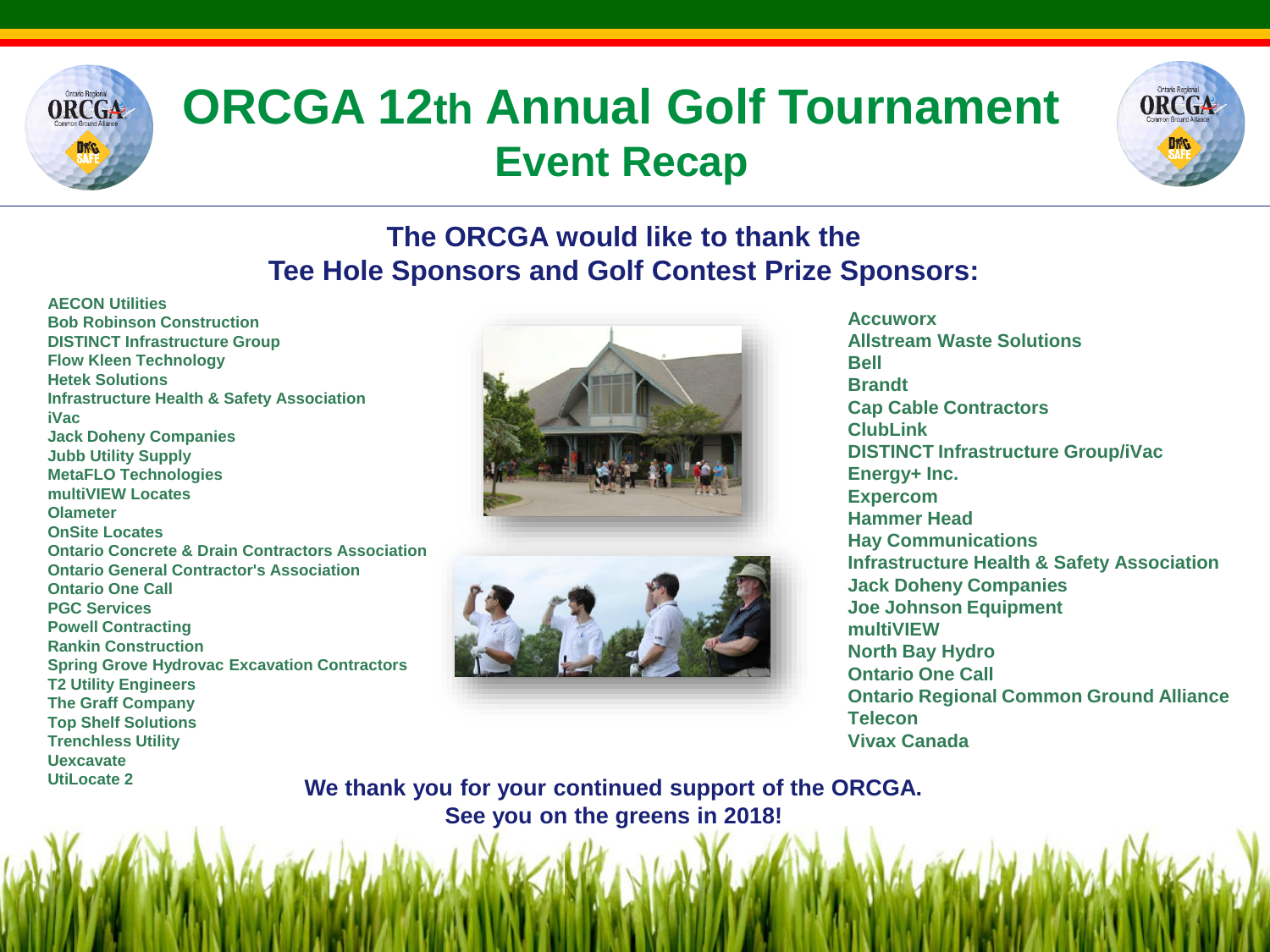

## **ORCGA 12th Annual Golf Tournament Event Recap**



### **The ORCGA would like to thank the Tee Hole Sponsors and Golf Contest Prize Sponsors:**

**AECON Utilities Bob Robinson Construction DISTINCT Infrastructure Group Flow Kleen Technology Hetek Solutions Infrastructure Health & Safety Association iVac Jack Doheny Companies Jubb Utility Supply MetaFLO Technologies multiVIEW Locates Olameter OnSite Locates Ontario Concrete & Drain Contractors Association Ontario General Contractor's Association Ontario One Call PGC Services Powell Contracting Rankin Construction Spring Grove Hydrovac Excavation Contractors T2 Utility Engineers The Graff Company Top Shelf Solutions Trenchless Utility Uexcavate UtiLocate 2**





**Accuworx Allstream Waste Solutions Bell Brandt Cap Cable Contractors ClubLink DISTINCT Infrastructure Group/iVac Energy+ Inc. Expercom Hammer Head Hay Communications Infrastructure Health & Safety Association Jack Doheny Companies Joe Johnson Equipment multiVIEW North Bay Hydro Ontario One Call Ontario Regional Common Ground Alliance Telecon Vivax Canada**

**We thank you for your continued support of the ORCGA. See you on the greens in 2018!**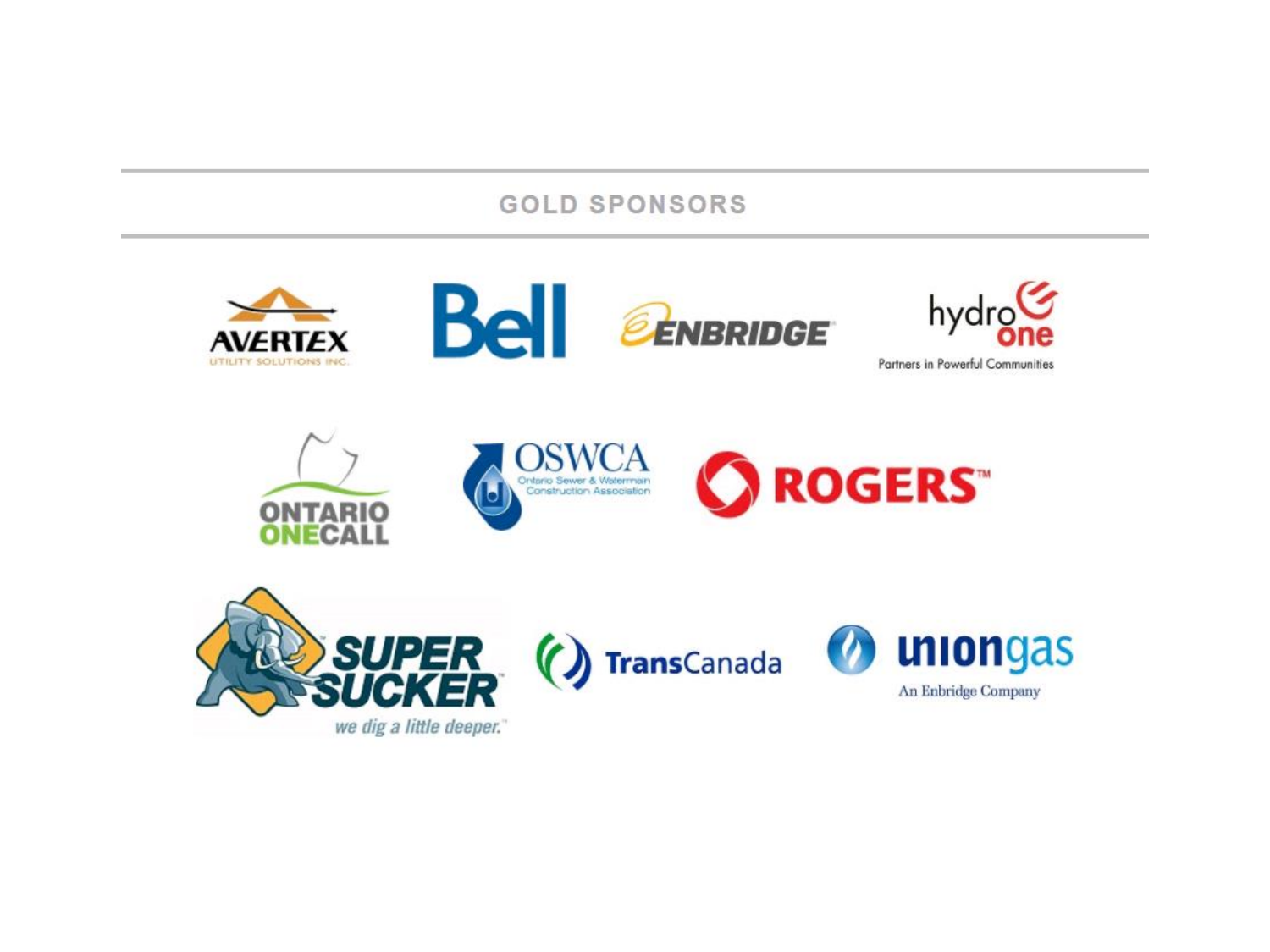#### **GOLD SPONSORS**



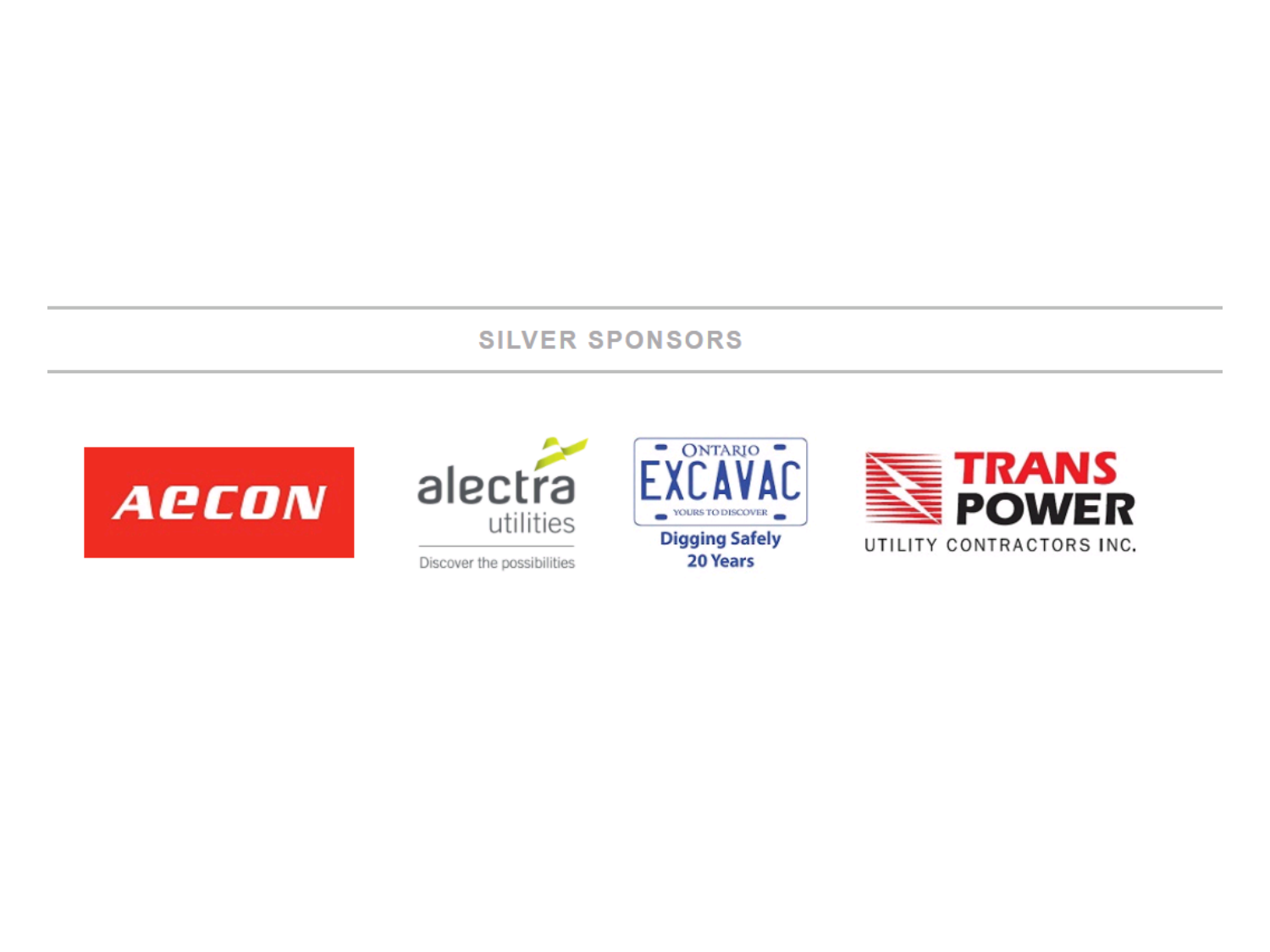#### **SILVER SPONSORS**





Discover the possibilities